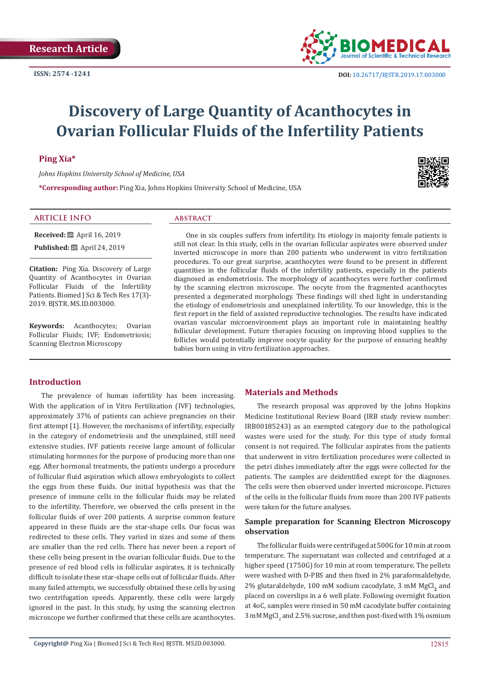

# **Discovery of Large Quantity of Acanthocytes in Ovarian Follicular Fluids of the Infertility Patients**

# **Ping Xia\***

*Johns Hopkins University School of Medicine, USA* 

**\*Corresponding author:** Ping Xia, Johns Hopkins University School of Medicine, USA

# **ARTICLE INFO abstract**

**Received:** ■ April 16, 2019 **Published:**  $\blacksquare$  April 24, 2019

**Citation:** Ping Xia. Discovery of Large Quantity of Acanthocytes in Ovarian Follicular Fluids of the Infertility Patients. Biomed J Sci & Tech Res 17(3)- 2019. BJSTR. MS.ID.003000.

**Keywords:** Acanthocytes; Ovarian Follicular Fluids; IVF; Endometriosis; Scanning Electron Microscopy

One in six couples suffers from infertility. Its etiology in majority female patients is still not clear. In this study, cells in the ovarian follicular aspirates were observed under inverted microscope in more than 200 patients who underwent in vitro fertilization procedures. To our great surprise, acanthocytes were found to be present in different quantities in the follicular fluids of the infertility patients, especially in the patients diagnosed as endometriosis. The morphology of acanthocytes were further confirmed by the scanning electron microscope. The oocyte from the fragmented acanthocytes presented a degenerated morphology. These findings will shed light in understanding the etiology of endometriosis and unexplained infertility. To our knowledge, this is the first report in the field of assisted reproductive technologies. The results have indicated ovarian vascular microenvironment plays an important role in maintaining healthy follicular development. Future therapies focusing on improving blood supplies to the follicles would potentially improve oocyte quality for the purpose of ensuring healthy babies born using in vitro fertilization approaches.

#### **Introduction**

The prevalence of human infertility has been increasing. With the application of in Vitro Fertilization (IVF) technologies, approximately 37% of patients can achieve pregnancies on their first attempt [1]. However, the mechanisms of infertility, especially in the category of endometriosis and the unexplained, still need extensive studies. IVF patients receive large amount of follicular stimulating hormones for the purpose of producing more than one egg. After hormonal treatments, the patients undergo a procedure of follicular fluid aspiration which allows embryologists to collect the eggs from these fluids. Our initial hypothesis was that the presence of immune cells in the follicular fluids may be related to the infertility. Therefore, we observed the cells present in the follicular fluids of over 200 patients. A surprise common feature appeared in these fluids are the star-shape cells. Our focus was redirected to these cells. They varied in sizes and some of them are smaller than the red cells. There has never been a report of these cells being present in the ovarian follicular fluids. Due to the presence of red blood cells in follicular aspirates, it is technically difficult to isolate these star-shape cells out of follicular fluids. After many failed attempts, we successfully obtained these cells by using two centrifugation speeds. Apparently, these cells were largely ignored in the past. In this study, by using the scanning electron microscope we further confirmed that these cells are acanthocytes.

# **Materials and Methods**

The research proposal was approved by the Johns Hopkins Medicine Institutional Review Board (IRB study review number: IRB00185243) as an exempted category due to the pathological wastes were used for the study. For this type of study formal consent is not required. The follicular aspirates from the patients that underwent in vitro fertilization procedures were collected in the petri dishes immediately after the eggs were collected for the patients. The samples are deidentified except for the diagnoses. The cells were then observed under inverted microscope. Pictures of the cells in the follicular fluids from more than 200 IVF patients were taken for the future analyses.

### **Sample preparation for Scanning Electron Microscopy observation**

The follicular fluids were centrifuged at 500G for 10 min at room temperature. The supernatant was collected and centrifuged at a higher speed (1750G) for 10 min at room temperature. The pellets were washed with D-PBS and then fixed in 2% paraformaldehyde, 2% glutaraldehyde, 100 mM sodium cacodylate, 3 mM MgCl<sub>2</sub> and placed on coverslips in a 6 well plate. Following overnight fixation at 4oC, samples were rinsed in 50 mM cacodylate buffer containing  $3$  mM MgCl $_2$  and 2.5% sucrose, and then post-fixed with  $1\%$  osmium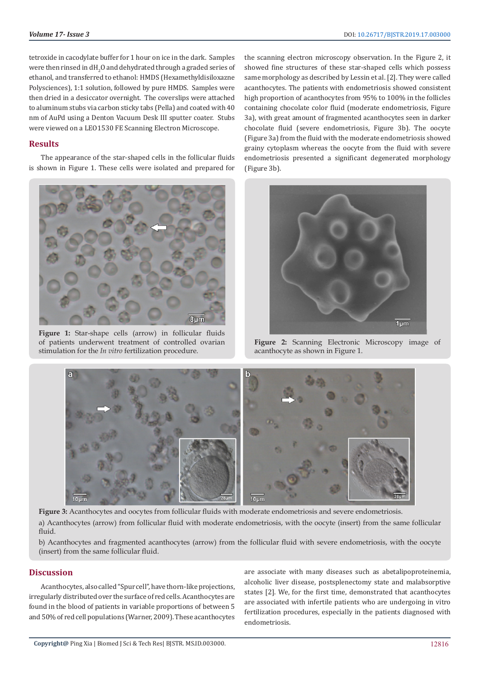tetroxide in cacodylate buffer for 1 hour on ice in the dark. Samples were then rinsed in dH $_{\rm 2}$ O and dehydrated through a graded series of ethanol, and transferred to ethanol: HMDS (Hexamethyldisiloxazne Polysciences), 1:1 solution, followed by pure HMDS. Samples were then dried in a desiccator overnight. The coverslips were attached to aluminum stubs via carbon sticky tabs (Pella) and coated with 40 nm of AuPd using a Denton Vacuum Desk III sputter coater. Stubs were viewed on a LEO1530 FE Scanning Electron Microscope.

# **Results**

The appearance of the star-shaped cells in the follicular fluids is shown in Figure 1. These cells were isolated and prepared for



**Figure 1:** Star-shape cells (arrow) in follicular fluids of patients underwent treatment of controlled ovarian stimulation for the *In vitro* fertilization procedure.

the scanning electron microscopy observation. In the Figure 2, it showed fine structures of these star-shaped cells which possess same morphology as described by Lessin et al. [2]. They were called acanthocytes. The patients with endometriosis showed consistent high proportion of acanthocytes from 95% to 100% in the follicles containing chocolate color fluid (moderate endometriosis, Figure 3a), with great amount of fragmented acanthocytes seen in darker chocolate fluid (severe endometriosis, Figure 3b). The oocyte (Figure 3a) from the fluid with the moderate endometriosis showed grainy cytoplasm whereas the oocyte from the fluid with severe endometriosis presented a significant degenerated morphology (Figure 3b).



**Figure 2:** Scanning Electronic Microscopy image of acanthocyte as shown in Figure 1.



**Figure 3:** Acanthocytes and oocytes from follicular fluids with moderate endometriosis and severe endometriosis. a) Acanthocytes (arrow) from follicular fluid with moderate endometriosis, with the oocyte (insert) from the same follicular fluid.

b) Acanthocytes and fragmented acanthocytes (arrow) from the follicular fluid with severe endometriosis, with the oocyte (insert) from the same follicular fluid.

### **Discussion**

Acanthocytes, also called "Spur cell", have thorn-like projections, irregularly distributed over the surface of red cells. Acanthocytes are found in the blood of patients in variable proportions of between 5 and 50% of red cell populations (Warner, 2009). These acanthocytes

are associate with many diseases such as abetalipoproteinemia, alcoholic liver disease, postsplenectomy state and malabsorptive states [2]. We, for the first time, demonstrated that acanthocytes are associated with infertile patients who are undergoing in vitro fertilization procedures, especially in the patients diagnosed with endometriosis.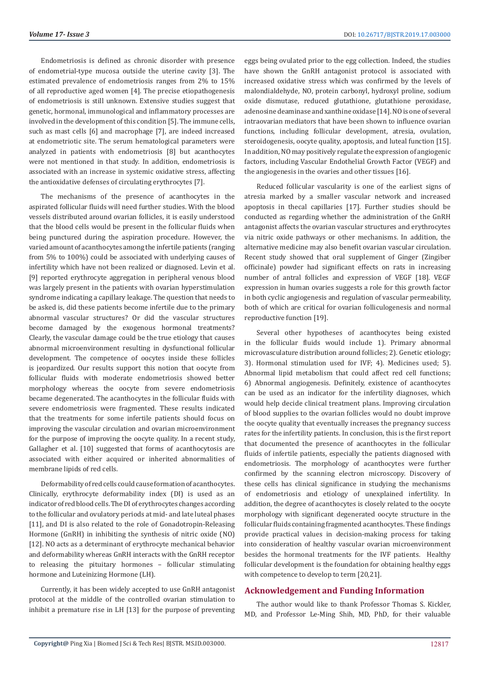Endometriosis is defined as chronic disorder with presence of endometrial-type mucosa outside the uterine cavity [3]. The estimated prevalence of endometriosis ranges from 2% to 15% of all reproductive aged women [4]. The precise etiopathogenesis of endometriosis is still unknown. Extensive studies suggest that genetic, hormonal, immunological and inflammatory processes are involved in the development of this condition [5]. The immune cells, such as mast cells [6] and macrophage [7], are indeed increased at endometriotic site. The serum hematological parameters were analyzed in patients with endometriosis [8] but acanthocytes were not mentioned in that study. In addition, endometriosis is associated with an increase in systemic oxidative stress, affecting the antioxidative defenses of circulating erythrocytes [7].

The mechanisms of the presence of acanthocytes in the aspirated follicular fluids will need further studies. With the blood vessels distributed around ovarian follicles, it is easily understood that the blood cells would be present in the follicular fluids when being punctured during the aspiration procedure. However, the varied amount of acanthocytes among the infertile patients (ranging from 5% to 100%) could be associated with underlying causes of infertility which have not been realized or diagnosed. Levin et al. [9] reported erythrocyte aggregation in peripheral venous blood was largely present in the patients with ovarian hyperstimulation syndrome indicating a capillary leakage. The question that needs to be asked is, did these patients become infertile due to the primary abnormal vascular structures? Or did the vascular structures become damaged by the exogenous hormonal treatments? Clearly, the vascular damage could be the true etiology that causes abnormal microenvironment resulting in dysfunctional follicular development. The competence of oocytes inside these follicles is jeopardized. Our results support this notion that oocyte from follicular fluids with moderate endometriosis showed better morphology whereas the oocyte from severe endometriosis became degenerated. The acanthocytes in the follicular fluids with severe endometriosis were fragmented. These results indicated that the treatments for some infertile patients should focus on improving the vascular circulation and ovarian microenvironment for the purpose of improving the oocyte quality. In a recent study, Gallagher et al. [10] suggested that forms of acanthocytosis are associated with either acquired or inherited abnormalities of membrane lipids of red cells.

Deformability of red cells could cause formation of acanthocytes. Clinically, erythrocyte deformability index (DI) is used as an indicator of red blood cells. The DI of erythrocytes changes according to the follicular and ovulatory periods at mid- and late luteal phases [11], and DI is also related to the role of Gonadotropin-Releasing Hormone (GnRH) in inhibiting the synthesis of nitric oxide (NO) [12]. NO acts as a determinant of erythrocyte mechanical behavior and deformability whereas GnRH interacts with the GnRH receptor to releasing the pituitary hormones – follicular stimulating hormone and Luteinizing Hormone (LH).

Currently, it has been widely accepted to use GnRH antagonist protocol at the middle of the controlled ovarian stimulation to inhibit a premature rise in LH [13] for the purpose of preventing eggs being ovulated prior to the egg collection. Indeed, the studies have shown the GnRH antagonist protocol is associated with increased oxidative stress which was confirmed by the levels of malondialdehyde, NO, protein carbonyl, hydroxyl proline, sodium oxide dismutase, reduced glutathione, glutathione peroxidase, adenosine deaminase and xanthine oxidase [14]. NO is one of several intraovarian mediators that have been shown to influence ovarian functions, including follicular development, atresia, ovulation, steroidogenesis, oocyte quality, apoptosis, and luteal function [15]. In addition, NO may positively regulate the expression of angiogenic factors, including Vascular Endothelial Growth Factor (VEGF) and the angiogenesis in the ovaries and other tissues [16].

Reduced follicular vascularity is one of the earliest signs of atresia marked by a smaller vascular network and increased apoptosis in thecal capillaries [17]. Further studies should be conducted as regarding whether the administration of the GnRH antagonist affects the ovarian vascular structures and erythrocytes via nitric oxide pathways or other mechanisms. In addition, the alternative medicine may also benefit ovarian vascular circulation. Recent study showed that oral supplement of Ginger (Zingiber officinale) powder had significant effects on rats in increasing number of antral follicles and expression of VEGF [18]. VEGF expression in human ovaries suggests a role for this growth factor in both cyclic angiogenesis and regulation of vascular permeability, both of which are critical for ovarian folliculogenesis and normal reproductive function [19].

Several other hypotheses of acanthocytes being existed in the follicular fluids would include 1). Primary abnormal microvasculature distribution around follicles; 2). Genetic etiology; 3). Hormonal stimulation used for IVF; 4). Medicines used; 5). Abnormal lipid metabolism that could affect red cell functions; 6) Abnormal angiogenesis. Definitely, existence of acanthocytes can be used as an indicator for the infertility diagnoses, which would help decide clinical treatment plans. Improving circulation of blood supplies to the ovarian follicles would no doubt improve the oocyte quality that eventually increases the pregnancy success rates for the infertility patients. In conclusion, this is the first report that documented the presence of acanthocytes in the follicular fluids of infertile patients, especially the patients diagnosed with endometriosis. The morphology of acanthocytes were further confirmed by the scanning electron microscopy. Discovery of these cells has clinical significance in studying the mechanisms of endometriosis and etiology of unexplained infertility. In addition, the degree of acanthocytes is closely related to the oocyte morphology with significant degenerated oocyte structure in the follicular fluids containing fragmented acanthocytes. These findings provide practical values in decision-making process for taking into consideration of healthy vascular ovarian microenvironment besides the hormonal treatments for the IVF patients. Healthy follicular development is the foundation for obtaining healthy eggs with competence to develop to term [20,21].

# **Acknowledgement and Funding Information**

The author would like to thank Professor Thomas S. Kickler, MD, and Professor Le-Ming Shih, MD, PhD, for their valuable